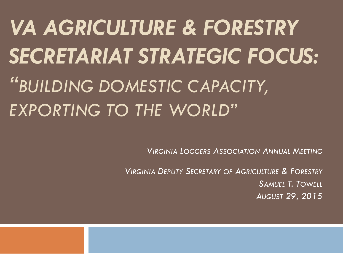*VA AGRICULTURE & FORESTRY SECRETARIAT STRATEGIC FOCUS: "BUILDING DOMESTIC CAPACITY, EXPORTING TO THE WORLD"*

*VIRGINIA LOGGERS ASSOCIATION ANNUAL MEETING*

*VIRGINIA DEPUTY SECRETARY OF AGRICULTURE & FORESTRY SAMUEL T. TOWELL AUGUST 29, 2015*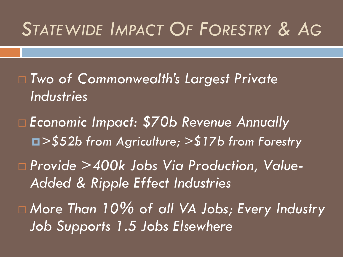# *STATEWIDE IMPACT OF FORESTRY & AG*

- *Two of Commonwealth's Largest Private Industries*
- *Economic Impact: \$70b Revenue Annually >\$52b from Agriculture; >\$17b from Forestry*
- *Provide >400k Jobs Via Production, Value-Added & Ripple Effect Industries*
- *More Than 10% of all VA Jobs; Every Industry Job Supports 1.5 Jobs Elsewhere*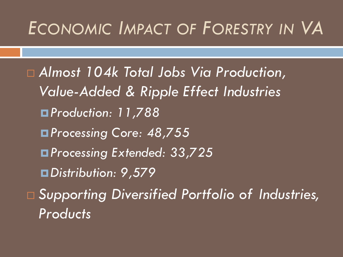#### *ECONOMIC IMPACT OF FORESTRY IN VA*

 *Almost 104k Total Jobs Via Production, Value-Added & Ripple Effect Industries Production: 11,788 Processing Core: 48,755 Processing Extended: 33,725 Distribution: 9,579 Supporting Diversified Portfolio of Industries, Products*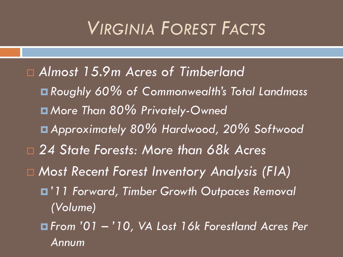# *VIRGINIA FOREST FACTS*

 *Almost 15.9m Acres of Timberland Roughly 60% of Commonwealth's Total Landmass More Than 80% Privately-Owned Approximately 80% Hardwood, 20% Softwood 24 State Forests: More than 68k Acres Most Recent Forest Inventory Analysis (FIA) '11 Forward, Timber Growth Outpaces Removal (Volume) From '01 – '10, VA Lost 16k Forestland Acres Per Annum*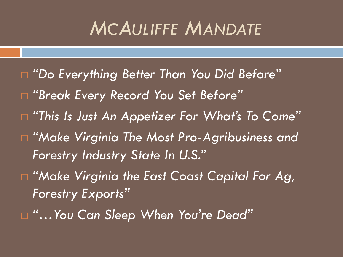# *MCAULIFFE MANDATE*

- *"Do Everything Better Than You Did Before" "Break Every Record You Set Before" "This Is Just An Appetizer For What's To Come" "Make Virginia The Most Pro-Agribusiness and Forestry Industry State In U.S." "Make Virginia the East Coast Capital For Ag,*
- *Forestry Exports"*
- *"…You Can Sleep When You're Dead"*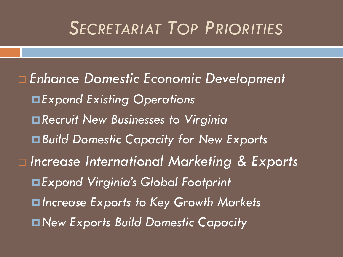### *SECRETARIAT TOP PRIORITIES*

 *Enhance Domestic Economic Development Expand Existing Operations Recruit New Businesses to Virginia Build Domestic Capacity for New Exports Increase International Marketing & Exports Expand Virginia's Global Footprint Increase Exports to Key Growth Markets New Exports Build Domestic Capacity*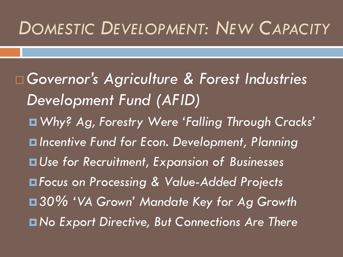#### *DOMESTIC DEVELOPMENT: NEW CAPACITY*

 *Governor's Agriculture & Forest Industries Development Fund (AFID) Why? Ag, Forestry Were 'Falling Through Cracks' Incentive Fund for Econ. Development, Planning Use for Recruitment, Expansion of Businesses Focus on Processing & Value-Added Projects 30% 'VA Grown' Mandate Key for Ag Growth No Export Directive, But Connections Are There*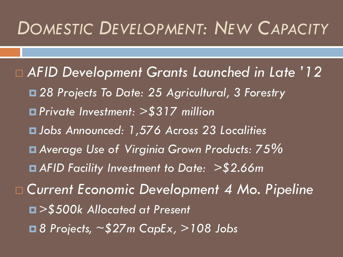#### *DOMESTIC DEVELOPMENT: NEW CAPACITY*

 *AFID Development Grants Launched in Late '12 28 Projects To Date: 25 Agricultural, 3 Forestry Private Investment: >\$317 million Jobs Announced: 1,576 Across 23 Localities Average Use of Virginia Grown Products: 75% AFID Facility Investment to Date: >\$2.66m Current Economic Development 4 Mo. Pipeline >\$500k Allocated at Present 8 Projects, ~\$27m CapEx, >108 Jobs*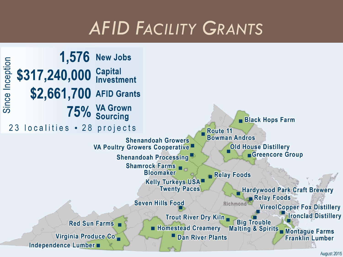# *AFID FACILITY GRANTS*

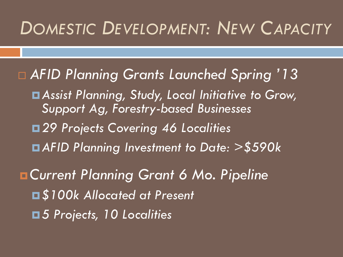#### *DOMESTIC DEVELOPMENT: NEW CAPACITY*

 *AFID Planning Grants Launched Spring '13 Assist Planning, Study, Local Initiative to Grow, Support Ag, Forestry-based Businesses 29 Projects Covering 46 Localities AFID Planning Investment to Date: >\$590k Current Planning Grant 6 Mo. Pipeline \$100k Allocated at Present 5 Projects, 10 Localities*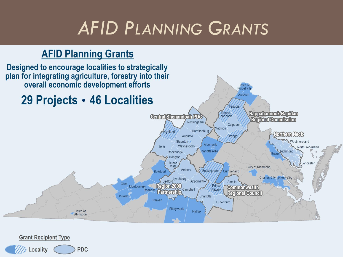# *AFID PLANNING GRANTS*

#### **AFID Planning Grants**



#### **Grant Recipient Type**

**PDC** Locality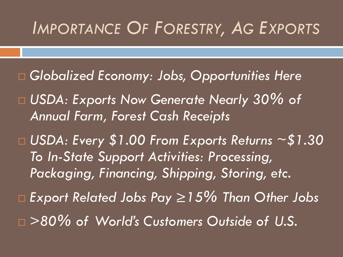#### *IMPORTANCE OF FORESTRY, AG EXPORTS*

- *Globalized Economy: Jobs, Opportunities Here*
- *USDA: Exports Now Generate Nearly 30% of Annual Farm, Forest Cash Receipts*
- *USDA: Every \$1.00 From Exports Returns ~\$1.30 To In-State Support Activities: Processing, Packaging, Financing, Shipping, Storing, etc.*
- *Export Related Jobs Pay ≥15% Than Other Jobs*
- *>80% of World's Customers Outside of U.S.*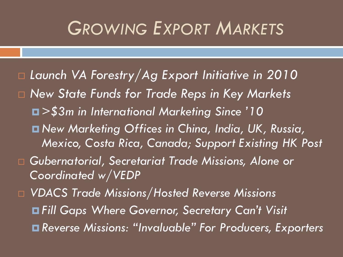#### *GROWING EXPORT MARKETS*

 *Launch VA Forestry/Ag Export Initiative in 2010 New State Funds for Trade Reps in Key Markets >\$3m in International Marketing Since '10 New Marketing Offices in China, India, UK, Russia, Mexico, Costa Rica, Canada; Support Existing HK Post Gubernatorial, Secretariat Trade Missions, Alone or Coordinated w/VEDP VDACS Trade Missions/Hosted Reverse Missions Fill Gaps Where Governor, Secretary Can't Visit Reverse Missions: "Invaluable" For Producers, Exporters*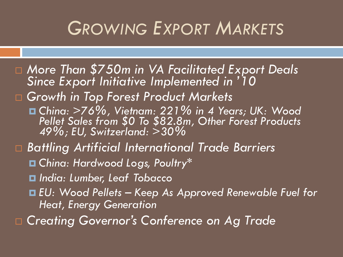### *GROWING EXPORT MARKETS*

 *More Than \$750m in VA Facilitated Export Deals Since Export Initiative Implemented in '10 Growth in Top Forest Product Markets China: >76%, Vietnam: 221% in 4 Years; UK: Wood Pellet Sales from \$0 To \$82.8m, Other Forest Products 49%; EU, Switzerland: >30% Battling Artificial International Trade Barriers China: Hardwood Logs, Poultry\* India: Lumber, Leaf Tobacco EU: Wood Pellets – Keep As Approved Renewable Fuel for Heat, Energy Generation Creating Governor's Conference on Ag Trade*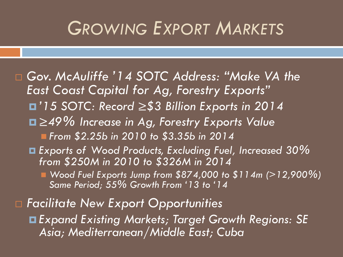### *GROWING EXPORT MARKETS*

 *Gov. McAuliffe '14 SOTC Address: "Make VA the East Coast Capital for Ag, Forestry Exports" '15 SOTC: Record* ≥*\$3 Billion Exports in 2014* ≥*49% Increase in Ag, Forestry Exports Value From \$2.25b in 2010 to \$3.35b in 2014 Exports of Wood Products, Excluding Fuel, Increased 30% from \$250M in 2010 to \$326M in 2014 Wood Fuel Exports Jump from \$874,000 to \$114m (>12,900%) Same Period; 55% Growth From '13 to '14 Facilitate New Export Opportunities Expand Existing Markets; Target Growth Regions: SE* 

*Asia; Mediterranean/Middle East; Cuba*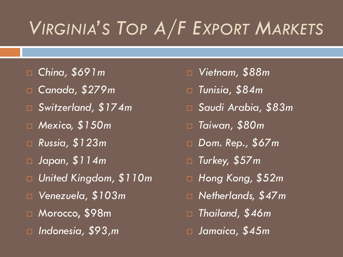# *VIRGINIA'S TOP A/F EXPORT MARKETS*

- *China, \$691m*
- *Canada, \$279m*
- *Switzerland, \$174m*
- *Mexico, \$150m*
- *Russia, \$123m*
- *Japan, \$114m*
- *United Kingdom, \$110m*
- *Venezuela, \$103m*
- Morocco, \$98m
- *Indonesia, \$93,m*
- *Vietnam, \$88m*
- *Tunisia, \$84m*
- *Saudi Arabia, \$83m*
- *Taiwan, \$80m*
- *Dom. Rep., \$67m*
- *Turkey, \$57m*
- *Hong Kong, \$52m*
- *Netherlands, \$47m*
- *Thailand, \$46m*
- *Jamaica, \$45m*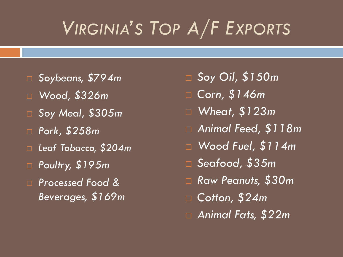# *VIRGINIA'S TOP A/F EXPORTS*

- *Soybeans, \$794m*
- *Wood, \$326m*
- *Soy Meal, \$305m*
- *Pork, \$258m*
- *Leaf Tobacco, \$204m*
- *Poultry, \$195m*
- *Processed Food & Beverages, \$169m*
- *Soy Oil, \$150m*
- *Corn, \$146m*
- *Wheat, \$123m*
- *Animal Feed, \$118m*
- *Wood Fuel, \$114m*
- *Seafood, \$35m*
- *Raw Peanuts, \$30m*
- *Cotton, \$24m*
- *Animal Fats, \$22m*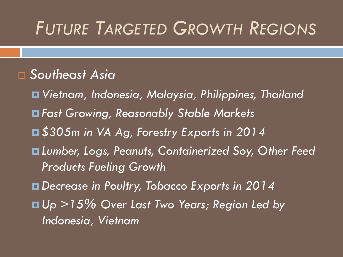# *FUTURE TARGETED GROWTH REGIONS*

#### *Southeast Asia*

 *Vietnam, Indonesia, Malaysia, Philippines, Thailand Fast Growing, Reasonably Stable Markets \$305m in VA Ag, Forestry Exports in 2014 Lumber, Logs, Peanuts, Containerized Soy, Other Feed Products Fueling Growth Decrease in Poultry, Tobacco Exports in 2014 Up >15% Over Last Two Years; Region Led by Indonesia, Vietnam*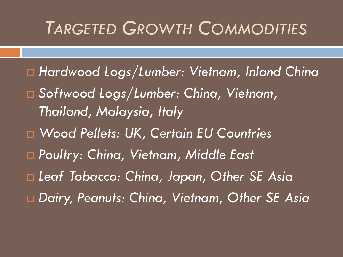## *TARGETED GROWTH COMMODITIES*

- *Hardwood Logs/Lumber: Vietnam, Inland China*
- *Softwood Logs/Lumber: China, Vietnam, Thailand, Malaysia, Italy*
- *Wood Pellets: UK, Certain EU Countries*
- *Poultry: China, Vietnam, Middle East*
- *Leaf Tobacco: China, Japan, Other SE Asia*
- *Dairy, Peanuts: China, Vietnam, Other SE Asia*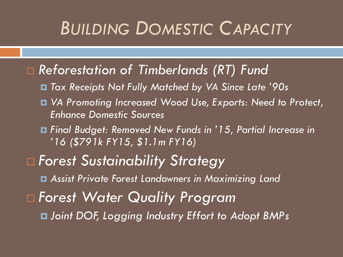# *BUILDING DOMESTIC CAPACITY*

- *Reforestation of Timberlands (RT) Fund*
	- *Tax Receipts Not Fully Matched by VA Since Late '90s*
	- *VA Promoting Increased Wood Use, Exports: Need to Protect, Enhance Domestic Sources*
	- *Final Budget: Removed New Funds in '15, Partial Increase in '16 (\$791k FY15, \$1.1m FY16)*
- *Forest Sustainability Strategy Assist Private Forest Landowners in Maximizing Land Forest Water Quality Program Joint DOF, Logging Industry Effort to Adopt BMPs*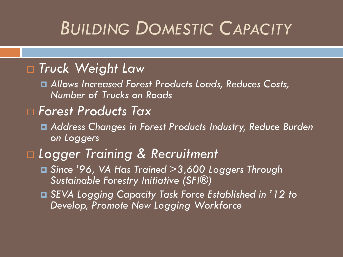# *BUILDING DOMESTIC CAPACITY*

#### *Truck Weight Law*

 *Allows Increased Forest Products Loads, Reduces Costs, Number of Trucks on Roads*

#### *Forest Products Tax*

 *Address Changes in Forest Products Industry, Reduce Burden on Loggers*

#### *Logger Training & Recruitment*

- *Since '96, VA Has Trained >3,600 Loggers Through Sustainable Forestry Initiative (SFI®)*
- *SEVA Logging Capacity Task Force Established in '12 to Develop, Promote New Logging Workforce*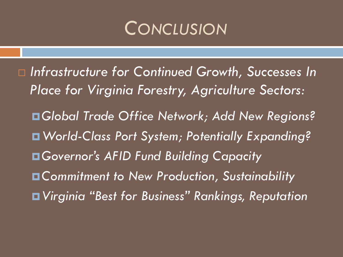#### *CONCLUSION*

 *Infrastructure for Continued Growth, Successes In Place for Virginia Forestry, Agriculture Sectors: Global Trade Office Network; Add New Regions? World-Class Port System; Potentially Expanding? Governor's AFID Fund Building Capacity Commitment to New Production, Sustainability Virginia "Best for Business" Rankings, Reputation*